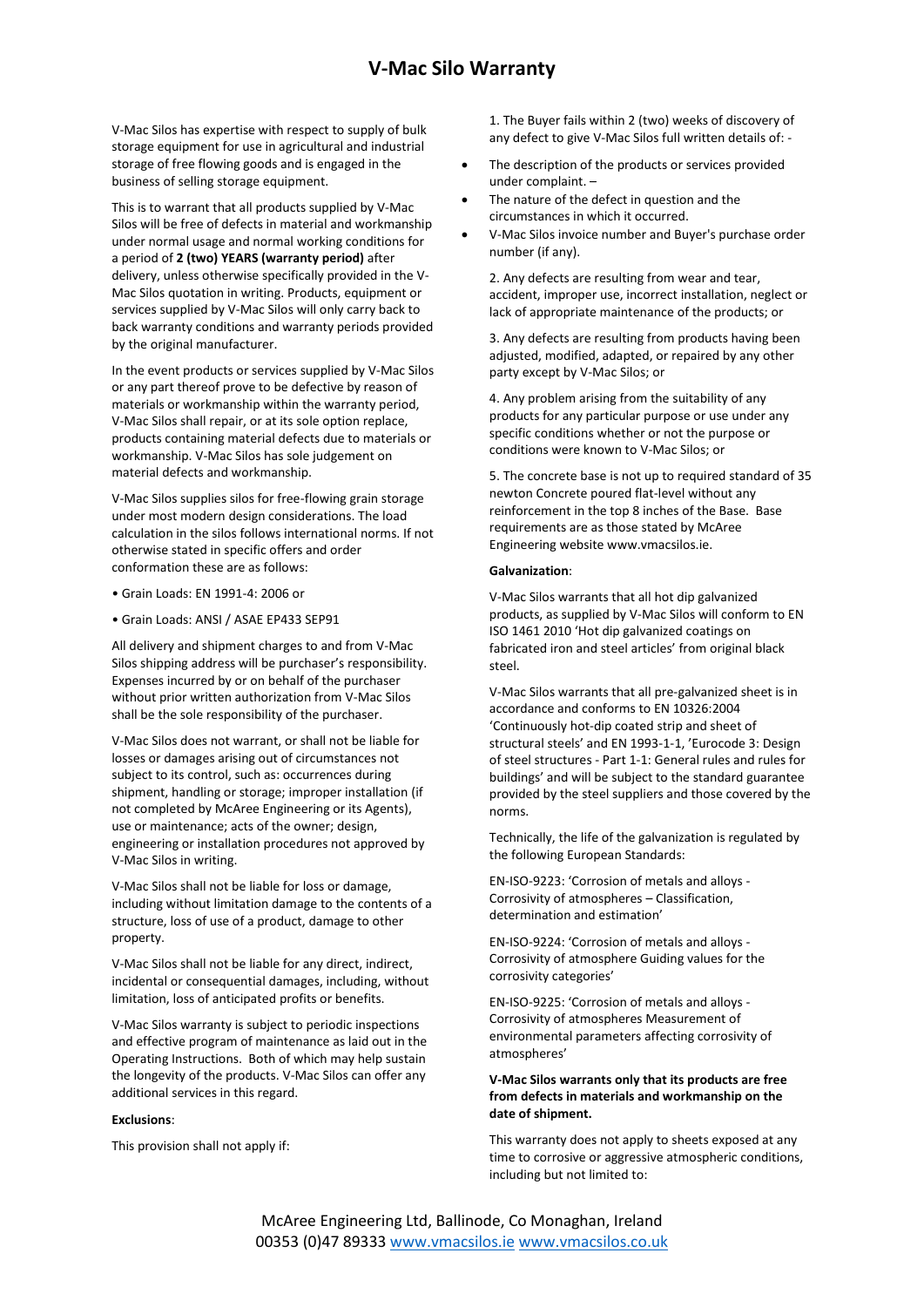# **V-Mac Silo Warranty**

V-Mac Silos has expertise with respect to supply of bulk storage equipment for use in agricultural and industrial storage of free flowing goods and is engaged in the business of selling storage equipment.

This is to warrant that all products supplied by V-Mac Silos will be free of defects in material and workmanship under normal usage and normal working conditions for a period of **2 (two) YEARS (warranty period)** after delivery, unless otherwise specifically provided in the V-Mac Silos quotation in writing. Products, equipment or services supplied by V-Mac Silos will only carry back to back warranty conditions and warranty periods provided by the original manufacturer.

In the event products or services supplied by V-Mac Silos or any part thereof prove to be defective by reason of materials or workmanship within the warranty period, V-Mac Silos shall repair, or at its sole option replace, products containing material defects due to materials or workmanship. V-Mac Silos has sole judgement on material defects and workmanship.

V-Mac Silos supplies silos for free-flowing grain storage under most modern design considerations. The load calculation in the silos follows international norms. If not otherwise stated in specific offers and order conformation these are as follows:

- Grain Loads: EN 1991-4: 2006 or
- Grain Loads: ANSI / ASAE EP433 SEP91

All delivery and shipment charges to and from V-Mac Silos shipping address will be purchaser's responsibility. Expenses incurred by or on behalf of the purchaser without prior written authorization from V-Mac Silos shall be the sole responsibility of the purchaser.

V-Mac Silos does not warrant, or shall not be liable for losses or damages arising out of circumstances not subject to its control, such as: occurrences during shipment, handling or storage; improper installation (if not completed by McAree Engineering or its Agents), use or maintenance; acts of the owner; design, engineering or installation procedures not approved by V-Mac Silos in writing.

V-Mac Silos shall not be liable for loss or damage, including without limitation damage to the contents of a structure, loss of use of a product, damage to other property.

V-Mac Silos shall not be liable for any direct, indirect, incidental or consequential damages, including, without limitation, loss of anticipated profits or benefits.

V-Mac Silos warranty is subject to periodic inspections and effective program of maintenance as laid out in the Operating Instructions. Both of which may help sustain the longevity of the products. V-Mac Silos can offer any additional services in this regard.

#### **Exclusions**:

This provision shall not apply if:

1. The Buyer fails within 2 (two) weeks of discovery of any defect to give V-Mac Silos full written details of: -

- The description of the products or services provided under complaint. –
- The nature of the defect in question and the circumstances in which it occurred.
- V-Mac Silos invoice number and Buyer's purchase order number (if any).

2. Any defects are resulting from wear and tear, accident, improper use, incorrect installation, neglect or lack of appropriate maintenance of the products; or

3. Any defects are resulting from products having been adjusted, modified, adapted, or repaired by any other party except by V-Mac Silos; or

4. Any problem arising from the suitability of any products for any particular purpose or use under any specific conditions whether or not the purpose or conditions were known to V-Mac Silos; or

5. The concrete base is not up to required standard of 35 newton Concrete poured flat-level without any reinforcement in the top 8 inches of the Base. Base requirements are as those stated by McAree Engineering website www.vmacsilos.ie.

#### **Galvanization**:

V-Mac Silos warrants that all hot dip galvanized products, as supplied by V-Mac Silos will conform to EN ISO 1461 2010 'Hot dip galvanized coatings on fabricated iron and steel articles' from original black steel.

V-Mac Silos warrants that all pre-galvanized sheet is in accordance and conforms to EN 10326:2004 'Continuously hot-dip coated strip and sheet of structural steels' and EN 1993-1-1, 'Eurocode 3: Design of steel structures - Part 1-1: General rules and rules for buildings' and will be subject to the standard guarantee provided by the steel suppliers and those covered by the norms.

Technically, the life of the galvanization is regulated by the following European Standards:

EN-ISO-9223: 'Corrosion of metals and alloys - Corrosivity of atmospheres – Classification, determination and estimation'

EN-ISO-9224: 'Corrosion of metals and alloys - Corrosivity of atmosphere Guiding values for the corrosivity categories'

EN-ISO-9225: 'Corrosion of metals and alloys - Corrosivity of atmospheres Measurement of environmental parameters affecting corrosivity of atmospheres'

## **V-Mac Silos warrants only that its products are free from defects in materials and workmanship on the date of shipment.**

This warranty does not apply to sheets exposed at any time to corrosive or aggressive atmospheric conditions, including but not limited to: